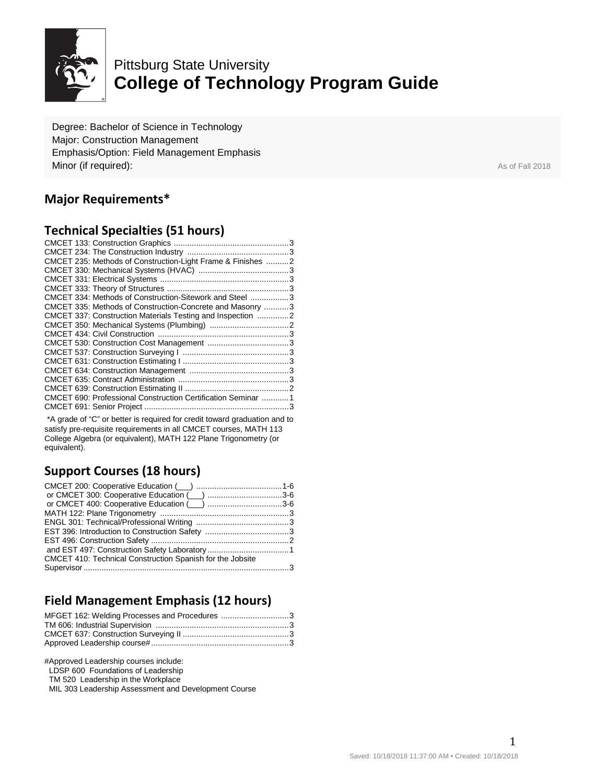

# Pittsburg State University **College of Technology Program Guide**

Degree: Bachelor of Science in Technology Major: Construction Management Emphasis/Option: Field Management Emphasis **Minor (if required):** As of Fall 2018

## **Major Requirements\***

#### **Technical Specialties (51 hours)**

| CMCET 235: Methods of Construction-Light Frame & Finishes  2                                                                                                                                                                         |  |
|--------------------------------------------------------------------------------------------------------------------------------------------------------------------------------------------------------------------------------------|--|
|                                                                                                                                                                                                                                      |  |
|                                                                                                                                                                                                                                      |  |
|                                                                                                                                                                                                                                      |  |
| CMCET 334: Methods of Construction-Sitework and Steel  3                                                                                                                                                                             |  |
| CMCET 335: Methods of Construction-Concrete and Masonry  3                                                                                                                                                                           |  |
| CMCET 337: Construction Materials Testing and Inspection 2                                                                                                                                                                           |  |
|                                                                                                                                                                                                                                      |  |
|                                                                                                                                                                                                                                      |  |
|                                                                                                                                                                                                                                      |  |
|                                                                                                                                                                                                                                      |  |
|                                                                                                                                                                                                                                      |  |
|                                                                                                                                                                                                                                      |  |
|                                                                                                                                                                                                                                      |  |
|                                                                                                                                                                                                                                      |  |
| CMCET 690: Professional Construction Certification Seminar 1                                                                                                                                                                         |  |
|                                                                                                                                                                                                                                      |  |
| $\mathbf{A}$ and $\mathbf{A}$ are the state of the state of the state of the state of the state of the state of the state of the state of the state of the state of the state of the state of the state of the state of the state of |  |

\*A grade of "C" or better is required for credit toward graduation and to satisfy pre-requisite requirements in all CMCET courses, MATH 113 College Algebra (or equivalent), MATH 122 Plane Trigonometry (or equivalent).

### **Support Courses (18 hours)**

| or CMCET 400: Cooperative Education (inc. numeron material 3-6 |  |
|----------------------------------------------------------------|--|
|                                                                |  |
|                                                                |  |
|                                                                |  |
|                                                                |  |
|                                                                |  |
| CMCET 410: Technical Construction Spanish for the Jobsite      |  |
|                                                                |  |

### **Field Management Emphasis (12 hours)**

| MFGET 162: Welding Processes and Procedures 3 |  |
|-----------------------------------------------|--|
|                                               |  |
|                                               |  |
|                                               |  |

#Approved Leadership courses include:

LDSP 600 Foundations of Leadership

TM 520 Leadership in the Workplace

MIL 303 Leadership Assessment and Development Course